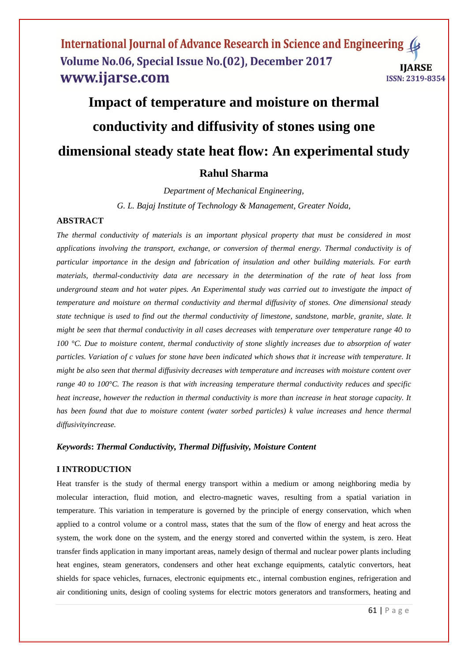# **Impact of temperature and moisture on thermal conductivity and diffusivity of stones using one dimensional steady state heat flow: An experimental study**

# **Rahul Sharma**

*Department of Mechanical Engineering, G. L. Bajaj Institute of Technology & Management, Greater Noida,* 

# **ABSTRACT**

*The thermal conductivity of materials is an important physical property that must be considered in most applications involving the transport, exchange, or conversion of thermal energy. Thermal conductivity is of particular importance in the design and fabrication of insulation and other building materials. For earth materials, thermal-conductivity data are necessary in the determination of the rate of heat loss from underground steam and hot water pipes. An Experimental study was carried out to investigate the impact of temperature and moisture on thermal conductivity and thermal diffusivity of stones. One dimensional steady state technique is used to find out the thermal conductivity of limestone, sandstone, marble, granite, slate. It might be seen that thermal conductivity in all cases decreases with temperature over temperature range 40 to 100 °C. Due to moisture content, thermal conductivity of stone slightly increases due to absorption of water particles. Variation of c values for stone have been indicated which shows that it increase with temperature. It might be also seen that thermal diffusivity decreases with temperature and increases with moisture content over range 40 to 100°C. The reason is that with increasing temperature thermal conductivity reduces and specific heat increase, however the reduction in thermal conductivity is more than increase in heat storage capacity. It has been found that due to moisture content (water sorbed particles) k value increases and hence thermal diffusivityincrease.*

### *Keywords***:** *Thermal Conductivity, Thermal Diffusivity, Moisture Content*

# **I INTRODUCTION**

Heat transfer is the study of thermal energy transport within a medium or among neighboring media by molecular interaction, fluid motion, and electro-magnetic waves, resulting from a spatial variation in temperature. This variation in temperature is governed by the principle of energy conservation, which when applied to a control volume or a control mass, states that the sum of the flow of energy and heat across the system, the work done on the system, and the energy stored and converted within the system, is zero. Heat transfer finds application in many important areas, namely design of thermal and nuclear power plants including heat engines, steam generators, condensers and other heat exchange equipments, catalytic convertors, heat shields for space vehicles, furnaces, electronic equipments etc., internal combustion engines, refrigeration and air conditioning units, design of cooling systems for electric motors generators and transformers, heating and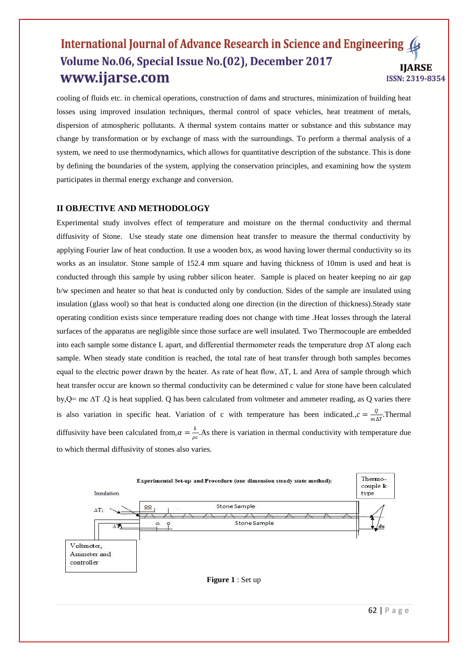cooling of fluids etc. in chemical operations, construction of dams and structures, minimization of building heat losses using improved insulation techniques, thermal control of space vehicles, heat treatment of metals, dispersion of atmospheric pollutants. A thermal system contains matter or substance and this substance may change by transformation or by exchange of mass with the surroundings. To perform a thermal analysis of a system, we need to use thermodynamics, which allows for quantitative description of the substance. This is done by defining the boundaries of the system, applying the conservation principles, and examining how the system participates in thermal energy exchange and conversion.

### **II OBJECTIVE AND METHODOLOGY**

Experimental study involves effect of temperature and moisture on the thermal conductivity and thermal diffusivity of Stone. Use steady state one dimension heat transfer to measure the thermal conductivity by applying Fourier law of heat conduction. It use a wooden box, as wood having lower thermal conductivity so its works as an insulator. Stone sample of 152.4 mm square and having thickness of 10mm is used and heat is conducted through this sample by using rubber silicon heater. Sample is placed on heater keeping no air gap b/w specimen and heater so that heat is conducted only by conduction. Sides of the sample are insulated using insulation (glass wool) so that heat is conducted along one direction (in the direction of thickness).Steady state operating condition exists since temperature reading does not change with time .Heat losses through the lateral surfaces of the apparatus are negligible since those surface are well insulated. Two Thermocouple are embedded into each sample some distance L apart, and differential thermometer reads the temperature drop ∆T along each sample. When steady state condition is reached, the total rate of heat transfer through both samples becomes equal to the electric power drawn by the heater. As rate of heat flow,  $\Delta T$ , L and Area of sample through which heat transfer occur are known so thermal conductivity can be determined c value for stone have been calculated by,Q= mc ∆T .Q is heat supplied. Q has been calculated from voltmeter and ammeter reading, as Q varies there is also variation in specific heat. Variation of c with temperature has been indicated.,  $c = \frac{Q}{A}$  $\frac{Q}{m\Delta T}$ . Thermal diffusivity have been calculated from,  $\alpha = \frac{k}{2}$  $\frac{\pi}{\rho c}$ . As there is variation in thermal conductivity with temperature due to which thermal diffusivity of stones also varies.

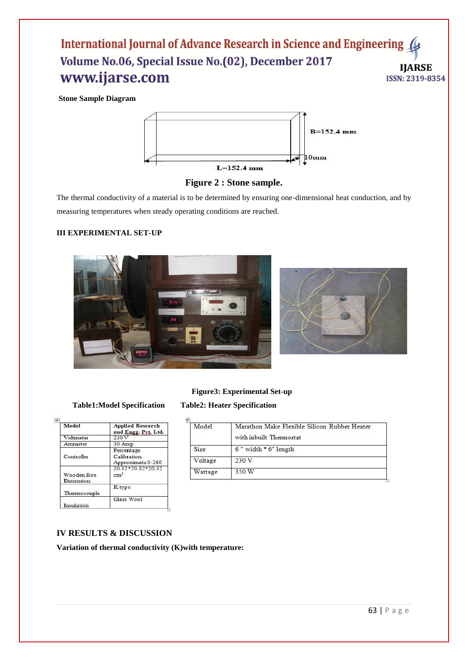**Stone Sample Diagram**





The thermal conductivity of a material is to be determined by ensuring one-dimensional heat conduction, and by measuring temperatures when steady operating conditions are reached.

# **III EXPERIMENTAL SET-UP**



# **Figure3: Experimental Set-up**

| Model                   | <b>Applied Research</b><br>and Engg. Pvt. Ltd. |
|-------------------------|------------------------------------------------|
| Voltmeter               | 230V                                           |
| Ammeter                 | 30 Amp                                         |
| Controller              | Percentage<br>Calibration<br>Approximate 0-260 |
| Wooden Box<br>Dimension | 20.32*20.32*20.32<br>cm <sup>3</sup>           |
| Thermocouple            | K type                                         |
| Insulation              | Glass Wool                                     |

# **Table1:Model Specification Table2: Heater Specification**

| Model   | Marathon Make Flexible Silicon Rubber Heater<br>with inbuilt. Thermostat. |
|---------|---------------------------------------------------------------------------|
| Size:   | $6$ " width $*$ 6" length                                                 |
| Voltage | 230V                                                                      |
| Wattage | 350 W                                                                     |

# **IV RESULTS & DISCUSSION**

**Variation of thermal conductivity (K)with temperature:**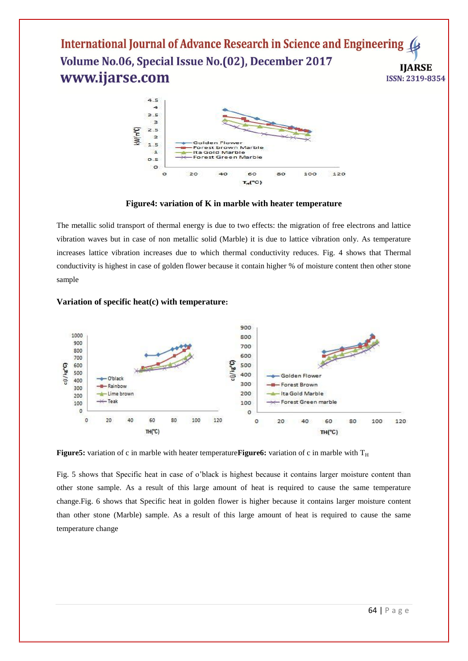

**Figure4: variation of K in marble with heater temperature**

The metallic solid transport of thermal energy is due to two effects: the migration of free electrons and lattice vibration waves but in case of non metallic solid (Marble) it is due to lattice vibration only. As temperature increases lattice vibration increases due to which thermal conductivity reduces. Fig. 4 shows that Thermal conductivity is highest in case of golden flower because it contain higher % of moisture content then other stone sample



# **Variation of specific heat(c) with temperature:**

**Figure5:** variation of c in marble with heater temperature **Figure6:** variation of c in marble with  $T_H$ 

Fig. 5 shows that Specific heat in case of o'black is highest because it contains larger moisture content than other stone sample. As a result of this large amount of heat is required to cause the same temperature change.Fig. 6 shows that Specific heat in golden flower is higher because it contains larger moisture content than other stone (Marble) sample. As a result of this large amount of heat is required to cause the same temperature change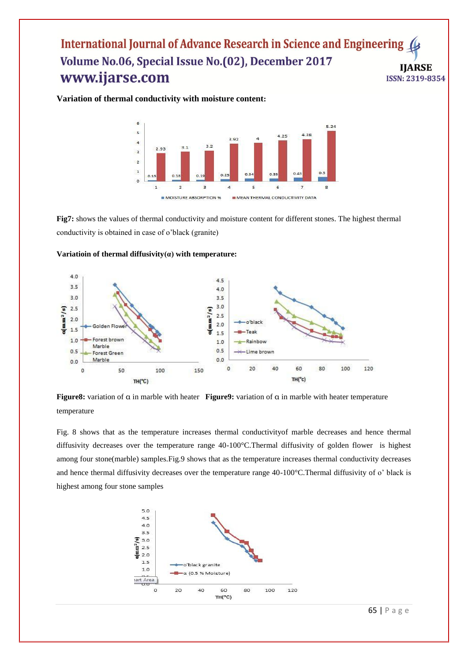**Variation of thermal conductivity with moisture content:**



**Fig7:** shows the values of thermal conductivity and moisture content for different stones. The highest thermal conductivity is obtained in case of o'black (granite)



**Variatioin of thermal diffusivity(α) with temperature:**

**Figure8:** variation of α in marble with heater **Figure9:** variation of α in marble with heater temperature temperature

Fig. 8 shows that as the temperature increases thermal conductivityof marble decreases and hence thermal diffusivity decreases over the temperature range 40-100°C.Thermal diffusivity of golden flower is highest among four stone(marble) samples.Fig.9 shows that as the temperature increases thermal conductivity decreases and hence thermal diffusivity decreases over the temperature range 40-100°C.Thermal diffusivity of o' black is highest among four stone samples

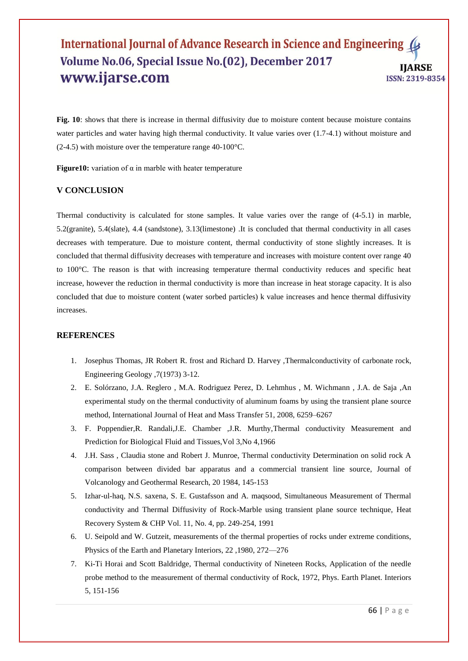**Fig. 10**: shows that there is increase in thermal diffusivity due to moisture content because moisture contains water particles and water having high thermal conductivity. It value varies over  $(1.7-4.1)$  without moisture and (2-4.5) with moisture over the temperature range 40-100°C.

**Figure10:** variation of  $\alpha$  in marble with heater temperature

### **V CONCLUSION**

Thermal conductivity is calculated for stone samples. It value varies over the range of (4-5.1) in marble, 5.2(granite), 5.4(slate), 4.4 (sandstone), 3.13(limestone) .It is concluded that thermal conductivity in all cases decreases with temperature. Due to moisture content, thermal conductivity of stone slightly increases. It is concluded that thermal diffusivity decreases with temperature and increases with moisture content over range 40 to 100°C. The reason is that with increasing temperature thermal conductivity reduces and specific heat increase, however the reduction in thermal conductivity is more than increase in heat storage capacity. It is also concluded that due to moisture content (water sorbed particles) k value increases and hence thermal diffusivity increases.

### **REFERENCES**

- 1. Josephus Thomas, JR Robert R. frost and Richard D. Harvey ,Thermalconductivity of carbonate rock, Engineering Geology ,7(1973) 3-12.
- 2. E. Solórzano, J.A. Reglero , M.A. Rodriguez Perez, D. Lehmhus , M. Wichmann , J.A. de Saja ,An experimental study on the thermal conductivity of aluminum foams by using the transient plane source method, International Journal of Heat and Mass Transfer 51, 2008, 6259–6267
- 3. F. Poppendier,R. Randali,J.E. Chamber ,J.R. Murthy,Thermal conductivity Measurement and Prediction for Biological Fluid and Tissues,Vol 3,No 4,1966
- 4. J.H. Sass , Claudia stone and Robert J. Munroe, Thermal conductivity Determination on solid rock A comparison between divided bar apparatus and a commercial transient line source, Journal of Volcanology and Geothermal Research, 20 1984, 145-153
- 5. Izhar-ul-haq, N.S. saxena, S. E. Gustafsson and A. maqsood, Simultaneous Measurement of Thermal conductivity and Thermal Diffusivity of Rock-Marble using transient plane source technique, Heat Recovery System & CHP Vol. 11, No. 4, pp. 249-254, 1991
- 6. U. Seipold and W. Gutzeit, measurements of the thermal properties of rocks under extreme conditions, Physics of the Earth and Planetary Interiors, 22 ,1980, 272—276
- 7. Ki-Ti Horai and Scott Baldridge, Thermal conductivity of Nineteen Rocks, Application of the needle probe method to the measurement of thermal conductivity of Rock, 1972, Phys. Earth Planet. Interiors 5, 151-156